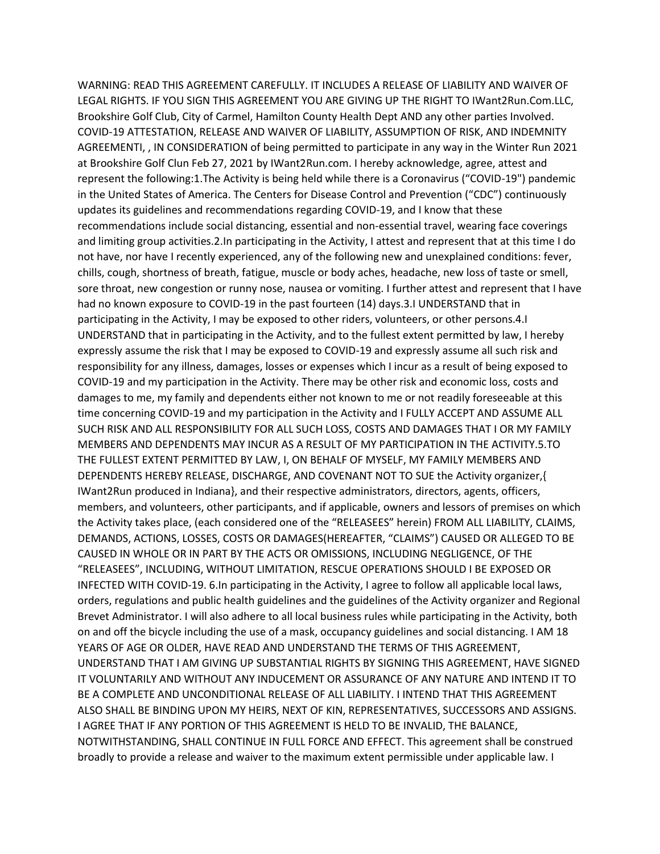WARNING: READ THIS AGREEMENT CAREFULLY. IT INCLUDES A RELEASE OF LIABILITY AND WAIVER OF LEGAL RIGHTS. IF YOU SIGN THIS AGREEMENT YOU ARE GIVING UP THE RIGHT TO IWant2Run.Com.LLC, Brookshire Golf Club, City of Carmel, Hamilton County Health Dept AND any other parties Involved. COVID-19 ATTESTATION, RELEASE AND WAIVER OF LIABILITY, ASSUMPTION OF RISK, AND INDEMNITY AGREEMENTI, , IN CONSIDERATION of being permitted to participate in any way in the Winter Run 2021 at Brookshire Golf Clun Feb 27, 2021 by IWant2Run.com. I hereby acknowledge, agree, attest and represent the following:1.The Activity is being held while there is a Coronavirus ("COVID-19") pandemic in the United States of America. The Centers for Disease Control and Prevention ("CDC") continuously updates its guidelines and recommendations regarding COVID-19, and I know that these recommendations include social distancing, essential and non-essential travel, wearing face coverings and limiting group activities.2.In participating in the Activity, I attest and represent that at this time I do not have, nor have I recently experienced, any of the following new and unexplained conditions: fever, chills, cough, shortness of breath, fatigue, muscle or body aches, headache, new loss of taste or smell, sore throat, new congestion or runny nose, nausea or vomiting. I further attest and represent that I have had no known exposure to COVID-19 in the past fourteen (14) days.3.I UNDERSTAND that in participating in the Activity, I may be exposed to other riders, volunteers, or other persons.4.I UNDERSTAND that in participating in the Activity, and to the fullest extent permitted by law, I hereby expressly assume the risk that I may be exposed to COVID-19 and expressly assume all such risk and responsibility for any illness, damages, losses or expenses which I incur as a result of being exposed to COVID-19 and my participation in the Activity. There may be other risk and economic loss, costs and damages to me, my family and dependents either not known to me or not readily foreseeable at this time concerning COVID-19 and my participation in the Activity and I FULLY ACCEPT AND ASSUME ALL SUCH RISK AND ALL RESPONSIBILITY FOR ALL SUCH LOSS, COSTS AND DAMAGES THAT I OR MY FAMILY MEMBERS AND DEPENDENTS MAY INCUR AS A RESULT OF MY PARTICIPATION IN THE ACTIVITY.5.TO THE FULLEST EXTENT PERMITTED BY LAW, I, ON BEHALF OF MYSELF, MY FAMILY MEMBERS AND DEPENDENTS HEREBY RELEASE, DISCHARGE, AND COVENANT NOT TO SUE the Activity organizer,{ IWant2Run produced in Indiana}, and their respective administrators, directors, agents, officers, members, and volunteers, other participants, and if applicable, owners and lessors of premises on which the Activity takes place, (each considered one of the "RELEASEES" herein) FROM ALL LIABILITY, CLAIMS, DEMANDS, ACTIONS, LOSSES, COSTS OR DAMAGES(HEREAFTER, "CLAIMS") CAUSED OR ALLEGED TO BE CAUSED IN WHOLE OR IN PART BY THE ACTS OR OMISSIONS, INCLUDING NEGLIGENCE, OF THE "RELEASEES", INCLUDING, WITHOUT LIMITATION, RESCUE OPERATIONS SHOULD I BE EXPOSED OR INFECTED WITH COVID-19. 6.In participating in the Activity, I agree to follow all applicable local laws, orders, regulations and public health guidelines and the guidelines of the Activity organizer and Regional Brevet Administrator. I will also adhere to all local business rules while participating in the Activity, both on and off the bicycle including the use of a mask, occupancy guidelines and social distancing. I AM 18 YEARS OF AGE OR OLDER, HAVE READ AND UNDERSTAND THE TERMS OF THIS AGREEMENT, UNDERSTAND THAT I AM GIVING UP SUBSTANTIAL RIGHTS BY SIGNING THIS AGREEMENT, HAVE SIGNED IT VOLUNTARILY AND WITHOUT ANY INDUCEMENT OR ASSURANCE OF ANY NATURE AND INTEND IT TO BE A COMPLETE AND UNCONDITIONAL RELEASE OF ALL LIABILITY. I INTEND THAT THIS AGREEMENT ALSO SHALL BE BINDING UPON MY HEIRS, NEXT OF KIN, REPRESENTATIVES, SUCCESSORS AND ASSIGNS. I AGREE THAT IF ANY PORTION OF THIS AGREEMENT IS HELD TO BE INVALID, THE BALANCE, NOTWITHSTANDING, SHALL CONTINUE IN FULL FORCE AND EFFECT. This agreement shall be construed broadly to provide a release and waiver to the maximum extent permissible under applicable law. I